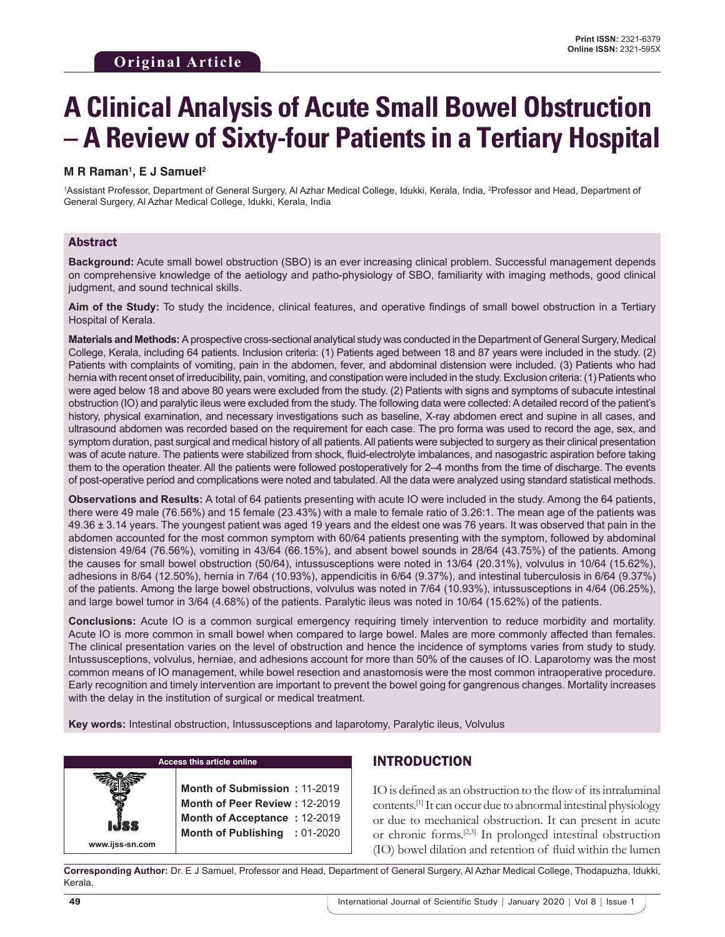# **A Clinical Analysis of Acute Small Bowel Obstruction – A Review of Sixty-four Patients in a Tertiary Hospital**

## **M R Raman1 , E J Samuel2**

1Assistant Professor, Department of General Surgery, Al Azhar Medical College, Idukki, Kerala, India, <sup>2</sup>Professor and Head, Department of General Surgery, Al Azhar Medical College, Idukki, Kerala, India

### Abstract

**Background:** Acute small bowel obstruction (SBO) is an ever increasing clinical problem. Successful management depends on comprehensive knowledge of the aetiology and patho-physiology of SBO, familiarity with imaging methods, good clinical judgment, and sound technical skills.

**Aim of the Study:** To study the incidence, clinical features, and operative findings of small bowel obstruction in a Tertiary Hospital of Kerala.

**Materials and Methods:** Aprospective cross-sectional analytical study was conducted in the Department of General Surgery, Medical College, Kerala, including 64 patients. Inclusion criteria: (1) Patients aged between 18 and 87 years were included in the study. (2) Patients with complaints of vomiting, pain in the abdomen, fever, and abdominal distension were included. (3) Patients who had hernia with recent onset of irreducibility, pain, vomiting, and constipation were included in the study. Exclusion criteria: (1) Patients who were aged below 18 and above 80 years were excluded from the study. (2) Patients with signs and symptoms of subacute intestinal obstruction (IO) and paralytic ileus were excluded from the study. The following data were collected: Adetailed record of the patient's history, physical examination, and necessary investigations such as baseline, X-ray abdomen erect and supine in all cases, and ultrasound abdomen was recorded based on the requirement for each case. The pro forma was used to record the age, sex, and symptom duration, past surgical and medical history of all patients. All patients were subjected to surgery as their clinical presentation was of acute nature. The patients were stabilized from shock, fluid-electrolyte imbalances, and nasogastric aspiration before taking them to the operation theater. All the patients were followed postoperatively for 2–4 months from the time of discharge. The events of post-operative period and complications were noted and tabulated. All the data were analyzed using standard statistical methods.

**Observations and Results:** A total of 64 patients presenting with acute IO were included in the study. Among the 64 patients, there were 49 male (76.56%) and 15 female (23.43%) with a male to female ratio of 3.26:1. The mean age of the patients was 49.36 ± 3.14 years. The youngest patient was aged 19 years and the eldest one was 76 years. It was observed that pain in the abdomen accounted for the most common symptom with 60/64 patients presenting with the symptom, followed by abdominal distension 49/64 (76.56%), vomiting in 43/64 (66.15%), and absent bowel sounds in 28/64 (43.75%) of the patients. Among the causes for small bowel obstruction (50/64), intussusceptions were noted in 13/64 (20.31%), volvulus in 10/64 (15.62%), adhesions in 8/64 (12.50%), hernia in 7/64 (10.93%), appendicitis in 6/64 (9.37%), and intestinal tuberculosis in 6/64 (9.37%) of the patients. Among the large bowel obstructions, volvulus was noted in 7/64 (10.93%), intussusceptions in 4/64 (06.25%), and large bowel tumor in 3/64 (4.68%) of the patients. Paralytic ileus was noted in 10/64 (15.62%) of the patients.

**Conclusions:** Acute IO is a common surgical emergency requiring timely intervention to reduce morbidity and mortality. Acute IO is more common in small bowel when compared to large bowel. Males are more commonly affected than females. The clinical presentation varies on the level of obstruction and hence the incidence of symptoms varies from study to study. Intussusceptions, volvulus, herniae, and adhesions account for more than 50% of the causes of IO. Laparotomy was the most common means of IO management, while bowel resection and anastomosis were the most common intraoperative procedure. Early recognition and timely intervention are important to prevent the bowel going for gangrenous changes. Mortality increases with the delay in the institution of surgical or medical treatment.

**Key words:** Intestinal obstruction, Intussusceptions and laparotomy, Paralytic ileus, Volvulus

| <b>Access this article online</b> |                                                                                                                                |  |
|-----------------------------------|--------------------------------------------------------------------------------------------------------------------------------|--|
| www.ijss-sn.com                   | Month of Submission: 11-2019<br>Month of Peer Review: 12-2019<br>Month of Acceptance: 12-2019<br>Month of Publishing : 01-2020 |  |

# INTRODUCTION

IO is defined as an obstruction to the flow of its intraluminal contents.[1] It can occur due to abnormal intestinal physiology or due to mechanical obstruction. It can present in acute or chronic forms.[2,3] In prolonged intestinal obstruction (IO) bowel dilation and retention of fluid within the lumen

**Corresponding Author:** Dr. E J Samuel, Professor and Head, Department of General Surgery, Al Azhar Medical College, Thodapuzha, Idukki, Kerala.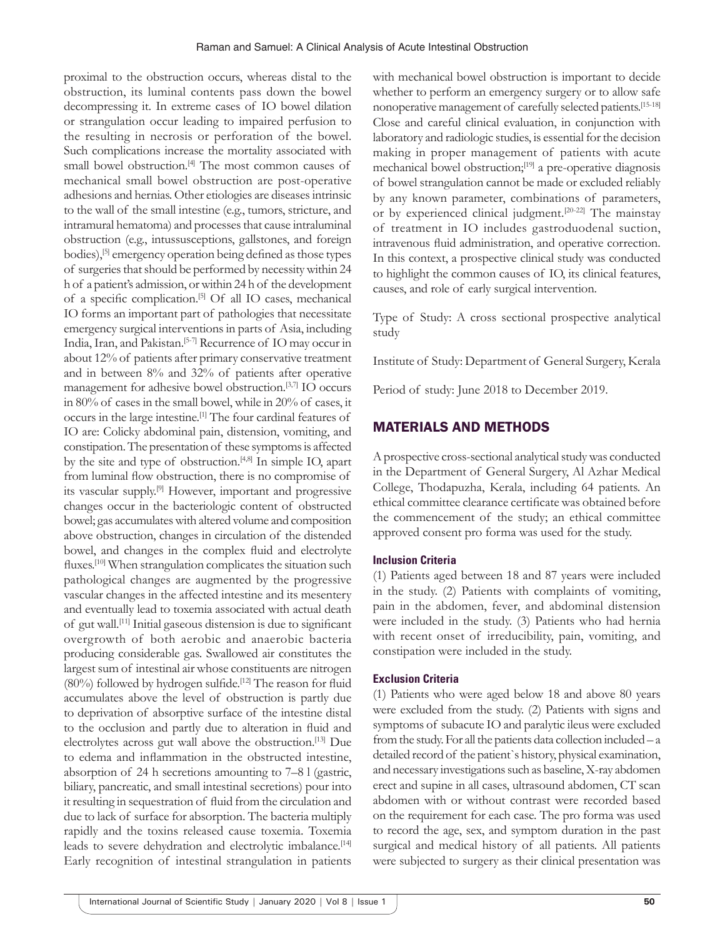proximal to the obstruction occurs, whereas distal to the obstruction, its luminal contents pass down the bowel decompressing it. In extreme cases of IO bowel dilation or strangulation occur leading to impaired perfusion to the resulting in necrosis or perforation of the bowel. Such complications increase the mortality associated with small bowel obstruction.[4] The most common causes of mechanical small bowel obstruction are post-operative adhesions and hernias. Other etiologies are diseases intrinsic to the wall of the small intestine (e.g., tumors, stricture, and intramural hematoma) and processes that cause intraluminal obstruction (e.g., intussusceptions, gallstones, and foreign bodies),[5] emergency operation being defined as those types of surgeries that should be performed by necessity within 24 h of a patient's admission, or within 24 h of the development of a specific complication.[5] Of all IO cases, mechanical IO forms an important part of pathologies that necessitate emergency surgical interventions in parts of Asia, including India, Iran, and Pakistan.[5-7] Recurrence of IO may occur in about 12% of patients after primary conservative treatment and in between 8% and 32% of patients after operative management for adhesive bowel obstruction.[3,7] IO occurs in 80% of cases in the small bowel, while in 20% of cases, it occurs in the large intestine.[1] The four cardinal features of IO are: Colicky abdominal pain, distension, vomiting, and constipation. The presentation of these symptoms is affected by the site and type of obstruction.<sup>[4,8]</sup> In simple IO, apart from luminal flow obstruction, there is no compromise of its vascular supply.[9] However, important and progressive changes occur in the bacteriologic content of obstructed bowel; gas accumulates with altered volume and composition above obstruction, changes in circulation of the distended bowel, and changes in the complex fluid and electrolyte fluxes.<sup>[10]</sup> When strangulation complicates the situation such pathological changes are augmented by the progressive vascular changes in the affected intestine and its mesentery and eventually lead to toxemia associated with actual death of gut wall.[11] Initial gaseous distension is due to significant overgrowth of both aerobic and anaerobic bacteria producing considerable gas. Swallowed air constitutes the largest sum of intestinal air whose constituents are nitrogen  $(80%)$  followed by hydrogen sulfide.<sup>[12]</sup> The reason for fluid accumulates above the level of obstruction is partly due to deprivation of absorptive surface of the intestine distal to the occlusion and partly due to alteration in fluid and electrolytes across gut wall above the obstruction.[13] Due to edema and inflammation in the obstructed intestine, absorption of 24 h secretions amounting to 7–8 l (gastric, biliary, pancreatic, and small intestinal secretions) pour into it resulting in sequestration of fluid from the circulation and due to lack of surface for absorption. The bacteria multiply rapidly and the toxins released cause toxemia. Toxemia leads to severe dehydration and electrolytic imbalance.<sup>[14]</sup> Early recognition of intestinal strangulation in patients

with mechanical bowel obstruction is important to decide whether to perform an emergency surgery or to allow safe nonoperative management of carefully selected patients.[15-18] Close and careful clinical evaluation, in conjunction with laboratory and radiologic studies, is essential for the decision making in proper management of patients with acute mechanical bowel obstruction;[19] a pre-operative diagnosis of bowel strangulation cannot be made or excluded reliably by any known parameter, combinations of parameters, or by experienced clinical judgment.[20-22] The mainstay of treatment in IO includes gastroduodenal suction, intravenous fluid administration, and operative correction. In this context, a prospective clinical study was conducted to highlight the common causes of IO, its clinical features, causes, and role of early surgical intervention.

Type of Study: A cross sectional prospective analytical study

Institute of Study: Department of General Surgery, Kerala

Period of study: June 2018 to December 2019.

## MATERIALS AND METHODS

A prospective cross-sectional analytical study was conducted in the Department of General Surgery, Al Azhar Medical College, Thodapuzha, Kerala, including 64 patients. An ethical committee clearance certificate was obtained before the commencement of the study; an ethical committee approved consent pro forma was used for the study.

#### **Inclusion Criteria**

(1) Patients aged between 18 and 87 years were included in the study. (2) Patients with complaints of vomiting, pain in the abdomen, fever, and abdominal distension were included in the study. (3) Patients who had hernia with recent onset of irreducibility, pain, vomiting, and constipation were included in the study.

#### **Exclusion Criteria**

(1) Patients who were aged below 18 and above 80 years were excluded from the study. (2) Patients with signs and symptoms of subacute IO and paralytic ileus were excluded from the study. For all the patients data collection included – a detailed record of the patient`s history, physical examination, and necessary investigations such as baseline, X-ray abdomen erect and supine in all cases, ultrasound abdomen, CT scan abdomen with or without contrast were recorded based on the requirement for each case. The pro forma was used to record the age, sex, and symptom duration in the past surgical and medical history of all patients. All patients were subjected to surgery as their clinical presentation was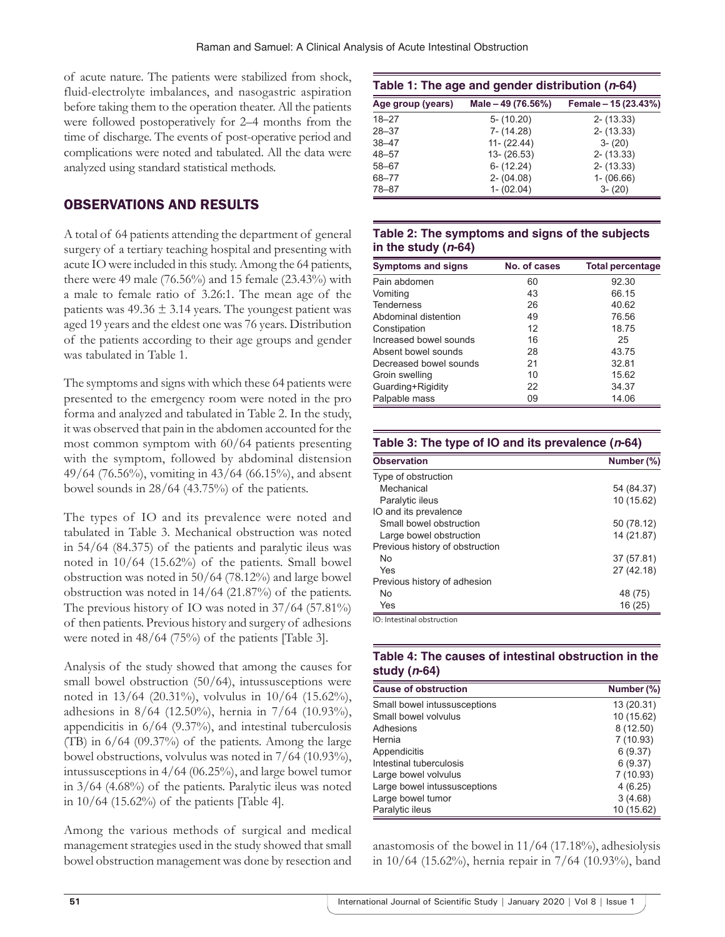of acute nature. The patients were stabilized from shock, fluid-electrolyte imbalances, and nasogastric aspiration before taking them to the operation theater. All the patients were followed postoperatively for 2–4 months from the time of discharge. The events of post-operative period and complications were noted and tabulated. All the data were analyzed using standard statistical methods.

# OBSERVATIONS AND RESULTS

A total of 64 patients attending the department of general surgery of a tertiary teaching hospital and presenting with acute IO were included in this study. Among the 64 patients, there were 49 male (76.56%) and 15 female (23.43%) with a male to female ratio of 3.26:1. The mean age of the patients was  $49.36 \pm 3.14$  years. The youngest patient was aged 19 years and the eldest one was 76 years. Distribution of the patients according to their age groups and gender was tabulated in Table 1.

The symptoms and signs with which these 64 patients were presented to the emergency room were noted in the pro forma and analyzed and tabulated in Table 2. In the study, it was observed that pain in the abdomen accounted for the most common symptom with 60/64 patients presenting with the symptom, followed by abdominal distension 49/64 (76.56%), vomiting in 43/64 (66.15%), and absent bowel sounds in 28/64 (43.75%) of the patients.

The types of IO and its prevalence were noted and tabulated in Table 3. Mechanical obstruction was noted in 54/64 (84.375) of the patients and paralytic ileus was noted in 10/64 (15.62%) of the patients. Small bowel obstruction was noted in 50/64 (78.12%) and large bowel obstruction was noted in 14/64 (21.87%) of the patients. The previous history of IO was noted in 37/64 (57.81%) of then patients. Previous history and surgery of adhesions were noted in 48/64 (75%) of the patients [Table 3].

Analysis of the study showed that among the causes for small bowel obstruction (50/64), intussusceptions were noted in 13/64 (20.31%), volvulus in 10/64 (15.62%), adhesions in 8/64 (12.50%), hernia in 7/64 (10.93%), appendicitis in 6/64 (9.37%), and intestinal tuberculosis (TB) in 6/64 (09.37%) of the patients. Among the large bowel obstructions, volvulus was noted in 7/64 (10.93%), intussusceptions in 4/64 (06.25%), and large bowel tumor in 3/64 (4.68%) of the patients. Paralytic ileus was noted in  $10/64$  (15.62%) of the patients [Table 4].

Among the various methods of surgical and medical management strategies used in the study showed that small bowel obstruction management was done by resection and

| Table 1: The age and gender distribution (n-64) |                    |                      |  |
|-------------------------------------------------|--------------------|----------------------|--|
| Age group (years)                               | Male - 49 (76.56%) | Female - 15 (23.43%) |  |
| $18 - 27$                                       | $5 - (10.20)$      | $2 - (13.33)$        |  |
| $28 - 37$                                       | $7 - (14.28)$      | $2 - (13.33)$        |  |
| $38 - 47$                                       | $11 - (22.44)$     | $3 - (20)$           |  |
| $48 - 57$                                       | $13 - (26.53)$     | $2 - (13.33)$        |  |
| $58 - 67$                                       | $6 - (12.24)$      | $2 - (13.33)$        |  |
| 68-77                                           | $2 - (04.08)$      | $1 - (06.66)$        |  |
| $78 - 87$                                       | $1 - (02.04)$      | $3 - (20)$           |  |

### **Table 2: The symptoms and signs of the subjects in the study (***n***‑64)**

| <b>Symptoms and signs</b> | No. of cases | <b>Total percentage</b> |
|---------------------------|--------------|-------------------------|
| Pain abdomen              | 60           | 92.30                   |
| Vomiting                  | 43           | 66.15                   |
| <b>Tenderness</b>         | 26           | 40.62                   |
| Abdominal distention      | 49           | 76.56                   |
| Constipation              | 12           | 18.75                   |
| Increased bowel sounds    | 16           | 25                      |
| Absent bowel sounds       | 28           | 43.75                   |
| Decreased bowel sounds    | 21           | 32.81                   |
| Groin swelling            | 10           | 15.62                   |
| Guarding+Rigidity         | 22           | 34.37                   |
| Palpable mass             | 09           | 14.06                   |

| <b>Observation</b>              | Number (%) |
|---------------------------------|------------|
| Type of obstruction             |            |
| Mechanical                      | 54 (84.37) |
| Paralytic ileus                 | 10 (15.62) |
| IO and its prevalence           |            |
| Small bowel obstruction         | 50 (78.12) |
| Large bowel obstruction         | 14 (21.87) |
| Previous history of obstruction |            |
| N <sub>0</sub>                  | 37 (57.81) |
| Yes                             | 27 (42.18) |
| Previous history of adhesion    |            |
| <b>No</b>                       | 48 (75)    |
| Yes                             | 16 (25)    |

## **Table 4: The causes of intestinal obstruction in the study (***n***‑64)**

| <b>Cause of obstruction</b>  | Number (%) |
|------------------------------|------------|
| Small bowel intussusceptions | 13 (20.31) |
| Small bowel volvulus         | 10 (15.62) |
| Adhesions                    | 8(12.50)   |
| Hernia                       | 7(10.93)   |
| Appendicitis                 | 6(9.37)    |
| Intestinal tuberculosis      | 6(9.37)    |
| Large bowel volvulus         | 7(10.93)   |
| Large bowel intussusceptions | 4(6.25)    |
| Large bowel tumor            | 3(4.68)    |
| Paralytic ileus              | 10 (15.62) |

anastomosis of the bowel in  $11/64$  (17.18%), adhesiolysis in 10/64 (15.62%), hernia repair in 7/64 (10.93%), band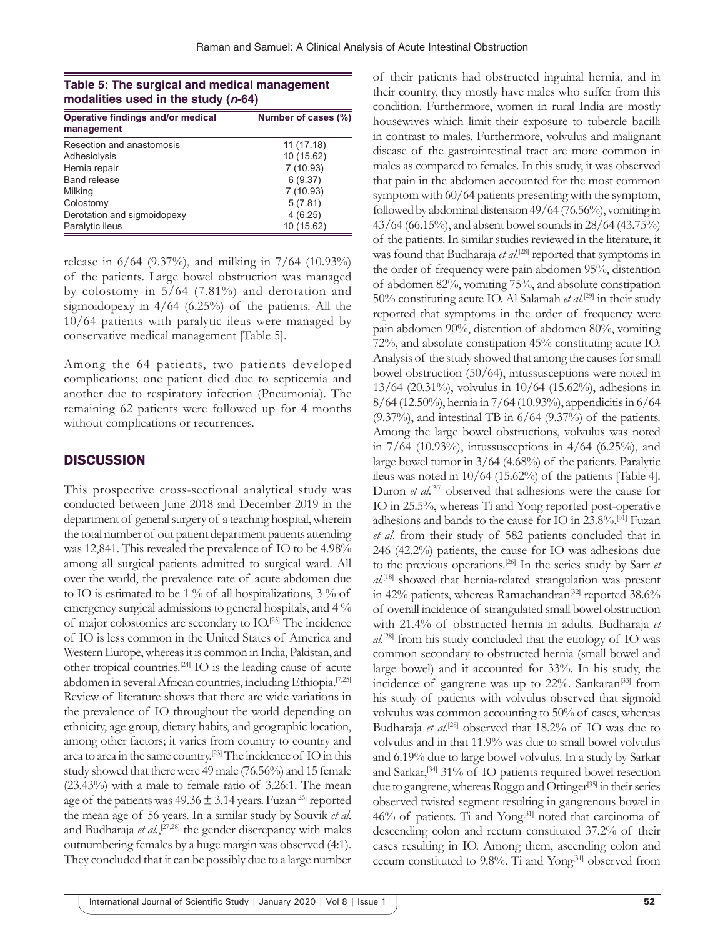| Table 5: The surgical and medical management |  |
|----------------------------------------------|--|
| modalities used in the study $(n-64)$        |  |

| Operative findings and/or medical<br>management | Number of cases (%) |  |
|-------------------------------------------------|---------------------|--|
| Resection and anastomosis                       | 11 (17.18)          |  |
| Adhesiolysis                                    | 10 (15.62)          |  |
| Hernia repair                                   | 7(10.93)            |  |
| <b>Band release</b>                             | 6(9.37)             |  |
| Milking                                         | 7(10.93)            |  |
| Colostomy                                       | 5(7.81)             |  |
| Derotation and sigmoidopexy                     | 4(6.25)             |  |
| Paralytic ileus                                 | 10 (15.62)          |  |

release in 6/64 (9.37%), and milking in 7/64 (10.93%) of the patients. Large bowel obstruction was managed by colostomy in 5/64 (7.81%) and derotation and sigmoidopexy in 4/64 (6.25%) of the patients. All the 10/64 patients with paralytic ileus were managed by conservative medical management [Table 5].

Among the 64 patients, two patients developed complications; one patient died due to septicemia and another due to respiratory infection (Pneumonia). The remaining 62 patients were followed up for 4 months without complications or recurrences.

# **DISCUSSION**

This prospective cross-sectional analytical study was conducted between June 2018 and December 2019 in the department of general surgery of a teaching hospital, wherein the total number of out patient department patients attending was 12,841. This revealed the prevalence of IO to be 4.98% among all surgical patients admitted to surgical ward. All over the world, the prevalence rate of acute abdomen due to IO is estimated to be 1 % of all hospitalizations, 3 % of emergency surgical admissions to general hospitals, and 4 % of major colostomies are secondary to IO.[23] The incidence of IO is less common in the United States of America and Western Europe, whereas it is common in India, Pakistan, and other tropical countries.[24] IO is the leading cause of acute abdomen in several African countries, including Ethiopia.<sup>[7,25]</sup> Review of literature shows that there are wide variations in the prevalence of IO throughout the world depending on ethnicity, age group, dietary habits, and geographic location, among other factors; it varies from country to country and area to area in the same country.[23] The incidence of IO in this study showed that there were 49male (76.56%) and 15 female (23.43%) with a male to female ratio of 3.26:1. The mean age of the patients was  $49.36 \pm 3.14$  years. Fuzan<sup>[26]</sup> reported the mean age of 56 years. In a similar study by Souvik *et al*. and Budharaja et al.,<sup>[27,28]</sup> the gender discrepancy with males outnumbering females by a huge margin was observed (4:1). They concluded that it can be possibly due to a large number

of their patients had obstructed inguinal hernia, and in their country, they mostly have males who suffer from this condition. Furthermore, women in rural India are mostly housewives which limit their exposure to tubercle bacilli in contrast to males. Furthermore, volvulus and malignant disease of the gastrointestinal tract are more common in males as compared to females. In this study, it was observed that pain in the abdomen accounted for the most common symptom with 60/64 patients presenting with the symptom, followed by abdominal distension 49/64 (76.56%), vomiting in 43/64 (66.15%), and absent bowel sounds in 28/64 (43.75%) of the patients. In similar studies reviewed in the literature, it was found that Budharaja et al.<sup>[28]</sup> reported that symptoms in the order of frequency were pain abdomen 95%, distention of abdomen 82%, vomiting 75%, and absolute constipation 50% constituting acute IO. Al Salamah et al.<sup>[29]</sup> in their study reported that symptoms in the order of frequency were pain abdomen 90%, distention of abdomen 80%, vomiting 72%, and absolute constipation 45% constituting acute IO. Analysis of the study showed that among the causes for small bowel obstruction (50/64), intussusceptions were noted in 13/64 (20.31%), volvulus in 10/64 (15.62%), adhesions in 8/64 (12.50%), hernia in 7/64 (10.93%), appendicitis in 6/64  $(9.37\%)$ , and intestinal TB in  $6/64$   $(9.37\%)$  of the patients. Among the large bowel obstructions, volvulus was noted in  $7/64$  (10.93%), intussusceptions in  $4/64$  (6.25%), and large bowel tumor in 3/64 (4.68%) of the patients. Paralytic ileus was noted in 10/64 (15.62%) of the patients [Table 4]. Duron *et al.*<sup>[30]</sup> observed that adhesions were the cause for IO in 25.5%, whereas Ti and Yong reported post-operative adhesions and bands to the cause for IO in 23.8%.[31] Fuzan *et al*. from their study of 582 patients concluded that in 246 (42.2%) patients, the cause for IO was adhesions due to the previous operations.[26] In the series study by Sarr *et al*. [18] showed that hernia-related strangulation was present in 42% patients, whereas Ramachandran<sup>[32]</sup> reported  $38.6\%$ of overall incidence of strangulated small bowel obstruction with 21.4% of obstructed hernia in adults. Budharaja *et al*. [28] from his study concluded that the etiology of IO was common secondary to obstructed hernia (small bowel and large bowel) and it accounted for 33%. In his study, the incidence of gangrene was up to 22%. Sankaran<sup>[33]</sup> from his study of patients with volvulus observed that sigmoid volvulus was common accounting to 50% of cases, whereas Budharaja et al.<sup>[28]</sup> observed that 18.2% of IO was due to volvulus and in that 11.9% was due to small bowel volvulus and 6.19% due to large bowel volvulus. In a study by Sarkar and Sarkar,<sup>[34]</sup> 31% of IO patients required bowel resection due to gangrene, whereas Roggo and Ottinger<sup>[35]</sup> in their series observed twisted segment resulting in gangrenous bowel in 46% of patients. Ti and Yong[31] noted that carcinoma of descending colon and rectum constituted 37.2% of their cases resulting in IO. Among them, ascending colon and cecum constituted to 9.8%. Ti and Yong[31] observed from